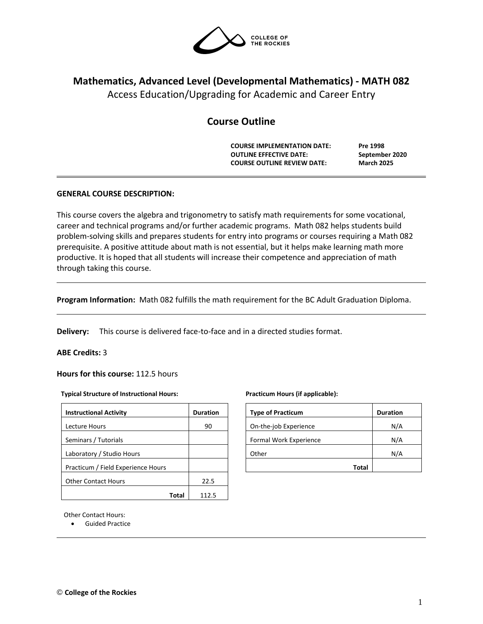

# **Mathematics, Advanced Level (Developmental Mathematics) - MATH 082**

Access Education/Upgrading for Academic and Career Entry

## **Course Outline**

**COURSE IMPLEMENTATION DATE: Pre 1998 OUTLINE EFFECTIVE DATE: September 2020 COURSE OUTLINE REVIEW DATE: March 2025**

## **GENERAL COURSE DESCRIPTION:**

This course covers the algebra and trigonometry to satisfy math requirements for some vocational, career and technical programs and/or further academic programs. Math 082 helps students build problem-solving skills and prepares students for entry into programs or courses requiring a Math 082 prerequisite. A positive attitude about math is not essential, but it helps make learning math more productive. It is hoped that all students will increase their competence and appreciation of math through taking this course.

**Program Information:** Math 082 fulfills the math requirement for the BC Adult Graduation Diploma.

**Delivery:** This course is delivered face-to-face and in a directed studies format.

## **ABE Credits:** 3

**Hours for this course:** 112.5 hours

#### **Typical Structure of Instructional Hours:**

| <b>Instructional Activity</b>      | <b>Duration</b> |
|------------------------------------|-----------------|
| Lecture Hours                      | 90              |
| Seminars / Tutorials               |                 |
| Laboratory / Studio Hours          |                 |
| Practicum / Field Experience Hours |                 |
| <b>Other Contact Hours</b>         | 22.5            |
| Tota                               |                 |

#### **Practicum Hours (if applicable):**

| <b>Type of Practicum</b> | <b>Duration</b> |
|--------------------------|-----------------|
| On-the-job Experience    | N/A             |
| Formal Work Experience   | N/A             |
| Other                    | N/A             |
| Total                    |                 |

Other Contact Hours:

• Guided Practice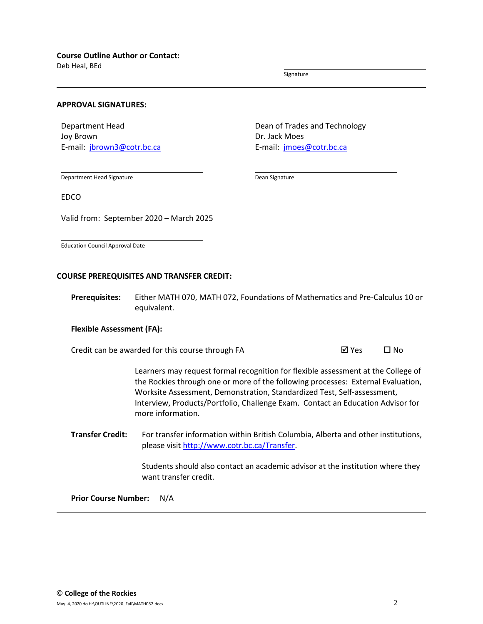Deb Heal, BEd

Signature

#### **APPROVAL SIGNATURES:**

Department Head Joy Brown E-mail: [jbrown3@cotr.bc.ca](mailto:jbrown3@cotr.bc.ca) Dean of Trades and Technology Dr. Jack Moes E-mail: *[jmoes@cotr.bc.ca](mailto:jmoes@cotr.bc.ca)* 

Department Head Signature

Dean Signature

EDCO

Valid from: September 2020 – March 2025

Education Council Approval Date

#### **COURSE PREREQUISITES AND TRANSFER CREDIT:**

**Prerequisites:** Either MATH 070, MATH 072, Foundations of Mathematics and Pre-Calculus 10 or equivalent.

#### **Flexible Assessment (FA):**

Credit can be awarded for this course through FA  $\boxtimes$  Yes  $\Box$  No

Learners may request formal recognition for flexible assessment at the College of the Rockies through one or more of the following processes: External Evaluation, Worksite Assessment, Demonstration, Standardized Test, Self-assessment, Interview, Products/Portfolio, Challenge Exam. Contact an Education Advisor for more information.

**Transfer Credit:** For transfer information within British Columbia, Alberta and other institutions, please visit [http://www.cotr.bc.ca/Transfer.](http://www.cotr.bc.ca/Transfer)

> Students should also contact an academic advisor at the institution where they want transfer credit.

**Prior Course Number:** N/A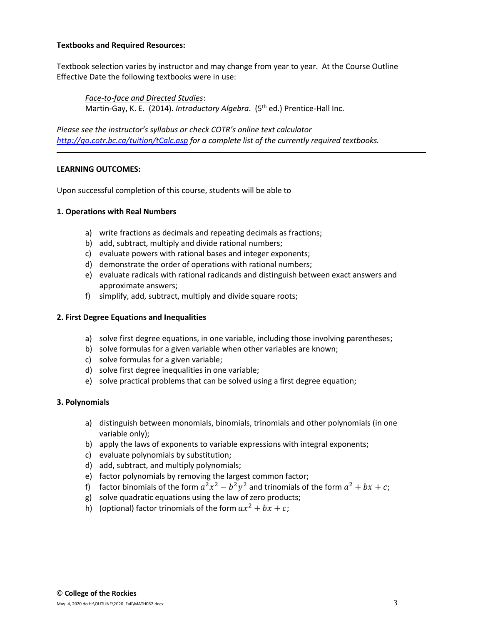#### **Textbooks and Required Resources:**

Textbook selection varies by instructor and may change from year to year. At the Course Outline Effective Date the following textbooks were in use:

*Face-to-face and Directed Studies*: Martin-Gay, K. E. (2014). *Introductory Algebra*. (5<sup>th</sup> ed.) Prentice-Hall Inc.

*Please see the instructor's syllabus or check COTR's online text calculator <http://go.cotr.bc.ca/tuition/tCalc.asp> for a complete list of the currently required textbooks.*

## **LEARNING OUTCOMES:**

Upon successful completion of this course, students will be able to

#### **1. Operations with Real Numbers**

- a) write fractions as decimals and repeating decimals as fractions;
- b) add, subtract, multiply and divide rational numbers;
- c) evaluate powers with rational bases and integer exponents;
- d) demonstrate the order of operations with rational numbers;
- e) evaluate radicals with rational radicands and distinguish between exact answers and approximate answers;
- f) simplify, add, subtract, multiply and divide square roots;

#### **2. First Degree Equations and Inequalities**

- a) solve first degree equations, in one variable, including those involving parentheses;
- b) solve formulas for a given variable when other variables are known;
- c) solve formulas for a given variable;
- d) solve first degree inequalities in one variable;
- e) solve practical problems that can be solved using a first degree equation;

#### **3. Polynomials**

- a) distinguish between monomials, binomials, trinomials and other polynomials (in one variable only);
- b) apply the laws of exponents to variable expressions with integral exponents;
- c) evaluate polynomials by substitution;
- d) add, subtract, and multiply polynomials;
- e) factor polynomials by removing the largest common factor;
- f) factor binomials of the form  $a^2x^2 b^2y^2$  and trinomials of the form  $a^2 + bx + c$ ;
- g) solve quadratic equations using the law of zero products;
- h) (optional) factor trinomials of the form  $ax^2 + bx + c$ ;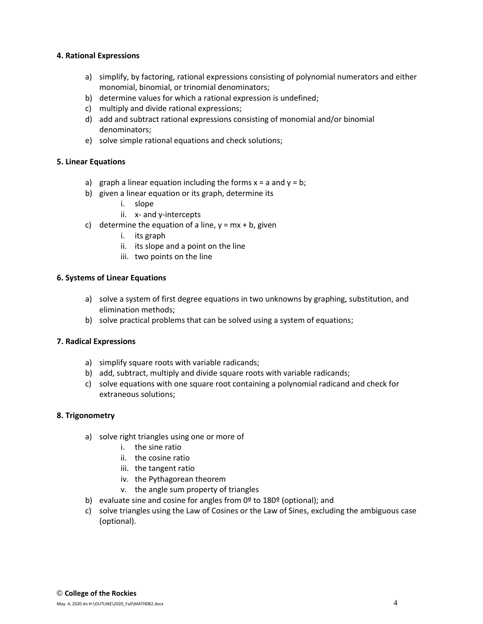#### **4. Rational Expressions**

- a) simplify, by factoring, rational expressions consisting of polynomial numerators and either monomial, binomial, or trinomial denominators;
- b) determine values for which a rational expression is undefined;
- c) multiply and divide rational expressions;
- d) add and subtract rational expressions consisting of monomial and/or binomial denominators;
- e) solve simple rational equations and check solutions;

## **5. Linear Equations**

- a) graph a linear equation including the forms  $x = a$  and  $y = b$ ;
- b) given a linear equation or its graph, determine its
	- i. slope
	- ii. x- and y-intercepts
- c) determine the equation of a line,  $y = mx + b$ , given
	- i. its graph
	- ii. its slope and a point on the line
	- iii. two points on the line

## **6. Systems of Linear Equations**

- a) solve a system of first degree equations in two unknowns by graphing, substitution, and elimination methods;
- b) solve practical problems that can be solved using a system of equations;

## **7. Radical Expressions**

- a) simplify square roots with variable radicands;
- b) add, subtract, multiply and divide square roots with variable radicands;
- c) solve equations with one square root containing a polynomial radicand and check for extraneous solutions;

## **8. Trigonometry**

- a) solve right triangles using one or more of
	- i. the sine ratio
	- ii. the cosine ratio
	- iii. the tangent ratio
	- iv. the Pythagorean theorem
	- v. the angle sum property of triangles
- b) evaluate sine and cosine for angles from  $0<sup>°</sup>$  to 180 $<sup>°</sup>$  (optional); and</sup>
- c) solve triangles using the Law of Cosines or the Law of Sines, excluding the ambiguous case (optional).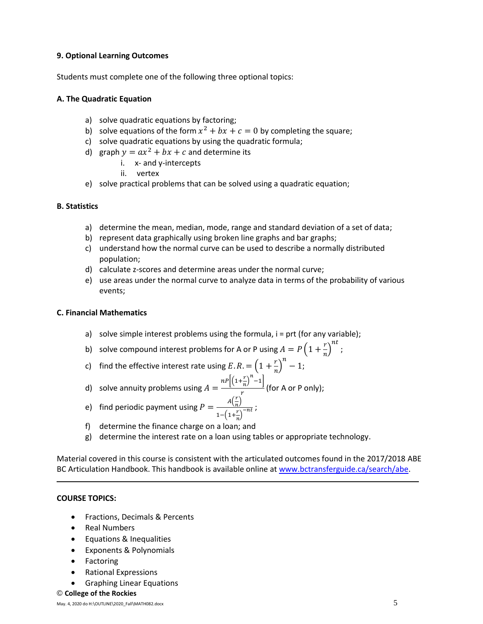#### **9. Optional Learning Outcomes**

Students must complete one of the following three optional topics:

#### **A. The Quadratic Equation**

- a) solve quadratic equations by factoring;
- b) solve equations of the form  $x^2 + bx + c = 0$  by completing the square;
- c) solve quadratic equations by using the quadratic formula;
- d) graph  $y = ax^2 + bx + c$  and determine its
	- i. x- and y-intercepts
	- ii. vertex
- e) solve practical problems that can be solved using a quadratic equation;

#### **B. Statistics**

- a) determine the mean, median, mode, range and standard deviation of a set of data;
- b) represent data graphically using broken line graphs and bar graphs;
- c) understand how the normal curve can be used to describe a normally distributed population;
- d) calculate z-scores and determine areas under the normal curve;
- e) use areas under the normal curve to analyze data in terms of the probability of various events;

#### **C. Financial Mathematics**

- a) solve simple interest problems using the formula,  $i =$  prt (for any variable);
- b) solve compound interest problems for A or P using  $A = P\left(1 + \frac{r}{a}\right)$  $\left(\frac{r}{n}\right)^{nt}$ ;
- c) find the effective interest rate using  $E.R. = \left(1 + \frac{r}{r}\right)^n 1$ ;  $\boldsymbol{n}$
- d) solve annuity problems using  $A = \frac{nP\left[\left(1 + \frac{r}{n}\right)\right]}{n}$  $\left[\frac{r}{n}\right]^n - 1$  $\frac{n}{r}$  (for A or P only);
- e) find periodic payment using  $P = \frac{A(\frac{r}{n})}{\sqrt{n}}$  $\frac{1}{n}$  $1-\left(1+\frac{r}{r}\right)$  $\frac{\frac{n}{r}}{n}$  )<sup>-nt</sup> ;
- f) determine the finance charge on a loan; and
- g) determine the interest rate on a loan using tables or appropriate technology.

Material covered in this course is consistent with the articulated outcomes found in the 2017/2018 ABE BC Articulation Handbook. This handbook is available online a[t www.bctransferguide.ca/search/abe.](http://www.bctransferguide.ca/search/abe)

## **COURSE TOPICS:**

- Fractions, Decimals & Percents
- Real Numbers
- Equations & Inequalities
- Exponents & Polynomials
- Factoring
- Rational Expressions
- Graphing Linear Equations
- © **College of the Rockies**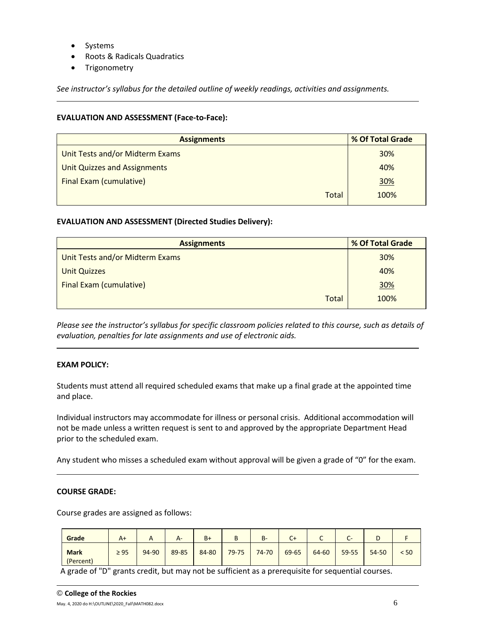- Systems
- Roots & Radicals Quadratics
- Trigonometry

*See instructor's syllabus for the detailed outline of weekly readings, activities and assignments.* 

## **EVALUATION AND ASSESSMENT (Face-to-Face):**

| <b>Assignments</b>                  | % Of Total Grade |  |  |
|-------------------------------------|------------------|--|--|
| Unit Tests and/or Midterm Exams     | 30%              |  |  |
| <b>Unit Quizzes and Assignments</b> | 40%              |  |  |
| <b>Final Exam (cumulative)</b>      | 30%              |  |  |
| <b>Total</b>                        | 100%             |  |  |

## **EVALUATION AND ASSESSMENT (Directed Studies Delivery):**

| <b>Assignments</b>              | % Of Total Grade |  |  |
|---------------------------------|------------------|--|--|
| Unit Tests and/or Midterm Exams | 30%              |  |  |
| <b>Unit Quizzes</b>             | 40%              |  |  |
| <b>Final Exam (cumulative)</b>  | 30%              |  |  |
| Total                           | 100%             |  |  |

*Please see the instructor's syllabus for specific classroom policies related to this course, such as details of evaluation, penalties for late assignments and use of electronic aids.*

## **EXAM POLICY:**

Students must attend all required scheduled exams that make up a final grade at the appointed time and place.

Individual instructors may accommodate for illness or personal crisis. Additional accommodation will not be made unless a written request is sent to and approved by the appropriate Department Head prior to the scheduled exam.

Any student who misses a scheduled exam without approval will be given a grade of "0" for the exam.

#### **COURSE GRADE:**

Course grades are assigned as follows:

| Grade                    | $A+$      | $\sqrt{ }$ | $A-$  | $B+$  | B     | <b>B-</b> | $\sim$<br>U+ | ◡     | $\sim$<br>$\mathbf{C}^{\mathsf{m}}$ | ◡         |      |
|--------------------------|-----------|------------|-------|-------|-------|-----------|--------------|-------|-------------------------------------|-----------|------|
| <b>Mark</b><br>(Percent) | $\geq 95$ | 94-90      | 89-85 | 84-80 | 79-75 | 74-70     | 69-65        | 64-60 | 59-55                               | $54 - 50$ | < 50 |

A grade of "D" grants credit, but may not be sufficient as a prerequisite for sequential courses.